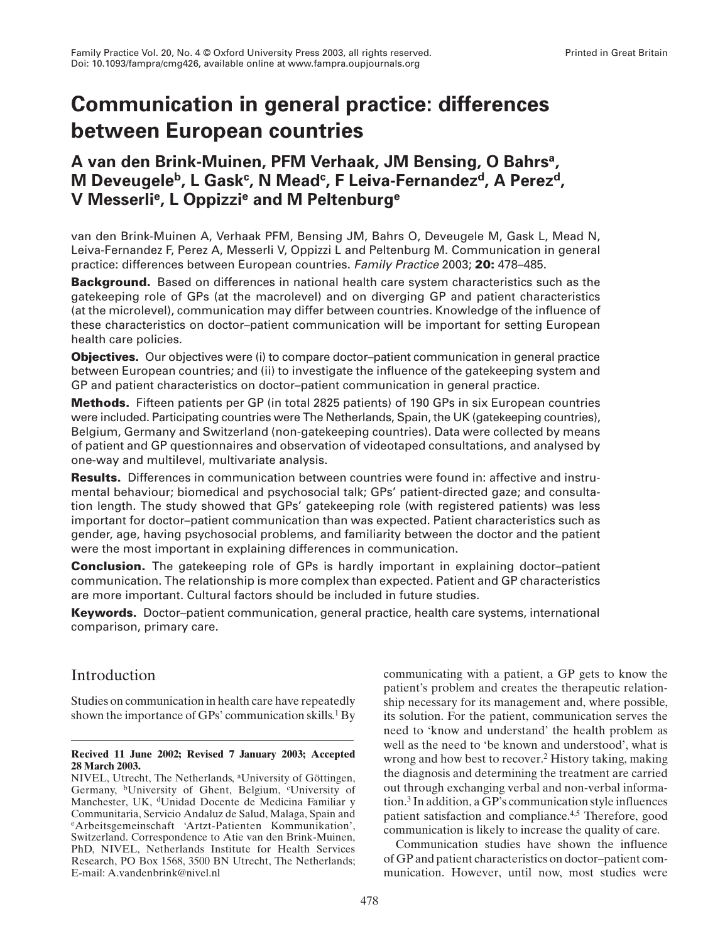# **Communication in general practice: differences between European countries**

## **A van den Brink-Muinen, PFM Verhaak, JM Bensing, O Bahrsa,**  M Deveugele<sup>b</sup>, L Gask<sup>c</sup>, N Mead<sup>c</sup>, F Leiva-Fernandez<sup>d</sup>, A Perez<sup>d</sup>, **V Messerlie, L Oppizzie and M Peltenburge**

van den Brink-Muinen A, Verhaak PFM, Bensing JM, Bahrs O, Deveugele M, Gask L, Mead N, Leiva-Fernandez F, Perez A, Messerli V, Oppizzi L and Peltenburg M. Communication in general practice: differences between European countries. *Family Practice* 2003; **20:** 478–485.

**Background.** Based on differences in national health care system characteristics such as the gatekeeping role of GPs (at the macrolevel) and on diverging GP and patient characteristics (at the microlevel), communication may differ between countries. Knowledge of the influence of these characteristics on doctor–patient communication will be important for setting European health care policies.

**Objectives.** Our objectives were (i) to compare doctor-patient communication in general practice between European countries; and (ii) to investigate the influence of the gatekeeping system and GP and patient characteristics on doctor–patient communication in general practice.

**Methods.** Fifteen patients per GP (in total 2825 patients) of 190 GPs in six European countries were included. Participating countries were The Netherlands, Spain, the UK (gatekeeping countries), Belgium, Germany and Switzerland (non-gatekeeping countries). Data were collected by means of patient and GP questionnaires and observation of videotaped consultations, and analysed by one-way and multilevel, multivariate analysis.

**Results.** Differences in communication between countries were found in: affective and instrumental behaviour; biomedical and psychosocial talk; GPs' patient-directed gaze; and consultation length. The study showed that GPs' gatekeeping role (with registered patients) was less important for doctor–patient communication than was expected. Patient characteristics such as gender, age, having psychosocial problems, and familiarity between the doctor and the patient were the most important in explaining differences in communication.

**Conclusion.** The gatekeeping role of GPs is hardly important in explaining doctor–patient communication. The relationship is more complex than expected. Patient and GP characteristics are more important. Cultural factors should be included in future studies.

**Keywords.** Doctor–patient communication, general practice, health care systems, international comparison, primary care.

## Introduction

Studies on communication in health care have repeatedly shown the importance of GPs' communication skills.<sup>1</sup> By

### **Recived 11 June 2002; Revised 7 January 2003; Accepted 28 March 2003.**

NIVEL, Utrecht, The Netherlands, aUniversity of Göttingen, Germany, <sup>b</sup>University of Ghent, Belgium, <sup>c</sup>University of Manchester, UK, dUnidad Docente de Medicina Familiar y Communitaria, Servicio Andaluz de Salud, Malaga, Spain and eArbeitsgemeinschaft 'Artzt-Patienten Kommunikation', Switzerland. Correspondence to Atie van den Brink-Muinen, PhD, NIVEL, Netherlands Institute for Health Services Research, PO Box 1568, 3500 BN Utrecht, The Netherlands; E-mail: A.vandenbrink@nivel.nl

communicating with a patient, a GP gets to know the patient's problem and creates the therapeutic relationship necessary for its management and, where possible, its solution. For the patient, communication serves the need to 'know and understand' the health problem as well as the need to 'be known and understood', what is wrong and how best to recover.<sup>2</sup> History taking, making the diagnosis and determining the treatment are carried out through exchanging verbal and non-verbal information.3 In addition, a GP's communication style influences patient satisfaction and compliance.4,5 Therefore, good communication is likely to increase the quality of care.

Communication studies have shown the influence of GP and patient characteristics on doctor–patient communication. However, until now, most studies were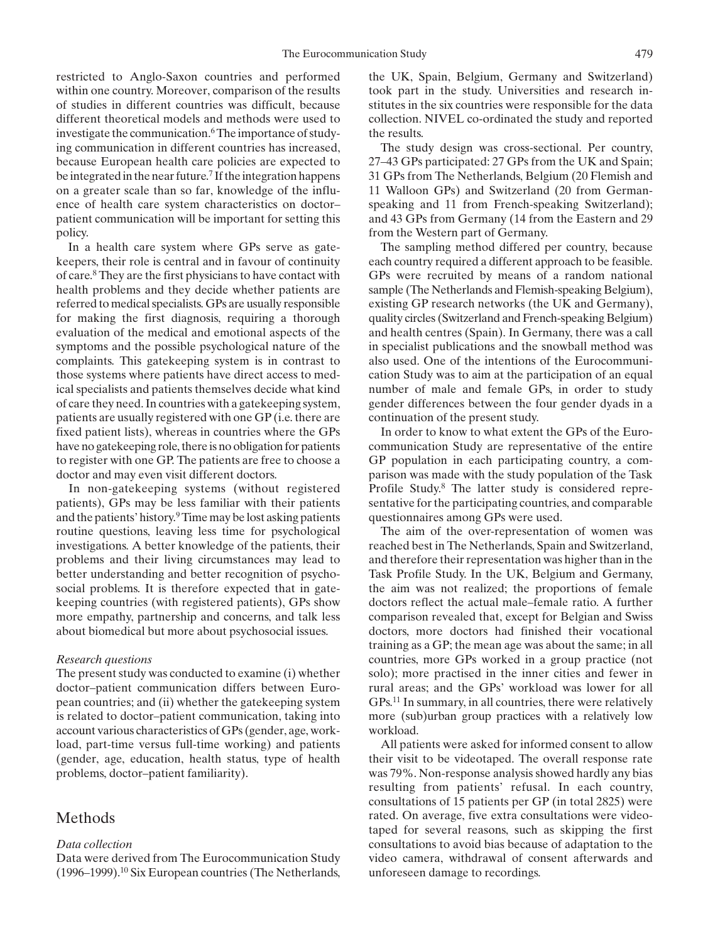restricted to Anglo-Saxon countries and performed within one country. Moreover, comparison of the results of studies in different countries was difficult, because different theoretical models and methods were used to investigate the communication.<sup>6</sup>The importance of studying communication in different countries has increased, because European health care policies are expected to be integrated in the near future.<sup>7</sup> If the integration happens on a greater scale than so far, knowledge of the influence of health care system characteristics on doctor– patient communication will be important for setting this policy.

In a health care system where GPs serve as gatekeepers, their role is central and in favour of continuity of care.8 They are the first physicians to have contact with health problems and they decide whether patients are referred to medical specialists. GPs are usually responsible for making the first diagnosis, requiring a thorough evaluation of the medical and emotional aspects of the symptoms and the possible psychological nature of the complaints. This gatekeeping system is in contrast to those systems where patients have direct access to medical specialists and patients themselves decide what kind of care they need. In countries with a gatekeeping system, patients are usually registered with one GP (i.e. there are fixed patient lists), whereas in countries where the GPs have no gatekeeping role, there is no obligation for patients to register with one GP. The patients are free to choose a doctor and may even visit different doctors.

In non-gatekeeping systems (without registered patients), GPs may be less familiar with their patients and the patients' history.9Time may be lost asking patients routine questions, leaving less time for psychological investigations. A better knowledge of the patients, their problems and their living circumstances may lead to better understanding and better recognition of psychosocial problems. It is therefore expected that in gatekeeping countries (with registered patients), GPs show more empathy, partnership and concerns, and talk less about biomedical but more about psychosocial issues.

#### *Research questions*

The present study was conducted to examine (i) whether doctor–patient communication differs between European countries; and (ii) whether the gatekeeping system is related to doctor–patient communication, taking into account various characteristics of GPs (gender, age, workload, part-time versus full-time working) and patients (gender, age, education, health status, type of health problems, doctor–patient familiarity).

## Methods

#### *Data collection*

Data were derived from The Eurocommunication Study  $(1996–1999).$ <sup>10</sup> Six European countries (The Netherlands, the UK, Spain, Belgium, Germany and Switzerland) took part in the study. Universities and research institutes in the six countries were responsible for the data collection. NIVEL co-ordinated the study and reported the results.

The study design was cross-sectional. Per country, 27–43 GPs participated: 27 GPs from the UK and Spain; 31 GPs from The Netherlands, Belgium (20 Flemish and 11 Walloon GPs) and Switzerland (20 from Germanspeaking and 11 from French-speaking Switzerland); and 43 GPs from Germany (14 from the Eastern and 29 from the Western part of Germany.

The sampling method differed per country, because each country required a different approach to be feasible. GPs were recruited by means of a random national sample (The Netherlands and Flemish-speaking Belgium), existing GP research networks (the UK and Germany), quality circles (Switzerland and French-speaking Belgium) and health centres (Spain). In Germany, there was a call in specialist publications and the snowball method was also used. One of the intentions of the Eurocommunication Study was to aim at the participation of an equal number of male and female GPs, in order to study gender differences between the four gender dyads in a continuation of the present study.

In order to know to what extent the GPs of the Eurocommunication Study are representative of the entire GP population in each participating country, a comparison was made with the study population of the Task Profile Study.8 The latter study is considered representative for the participating countries, and comparable questionnaires among GPs were used.

The aim of the over-representation of women was reached best in The Netherlands, Spain and Switzerland, and therefore their representation was higher than in the Task Profile Study. In the UK, Belgium and Germany, the aim was not realized; the proportions of female doctors reflect the actual male–female ratio. A further comparison revealed that, except for Belgian and Swiss doctors, more doctors had finished their vocational training as a GP; the mean age was about the same; in all countries, more GPs worked in a group practice (not solo); more practised in the inner cities and fewer in rural areas; and the GPs' workload was lower for all GPs.11 In summary, in all countries, there were relatively more (sub)urban group practices with a relatively low workload.

All patients were asked for informed consent to allow their visit to be videotaped. The overall response rate was 79%. Non-response analysis showed hardly any bias resulting from patients' refusal. In each country, consultations of 15 patients per GP (in total 2825) were rated. On average, five extra consultations were videotaped for several reasons, such as skipping the first consultations to avoid bias because of adaptation to the video camera, withdrawal of consent afterwards and unforeseen damage to recordings.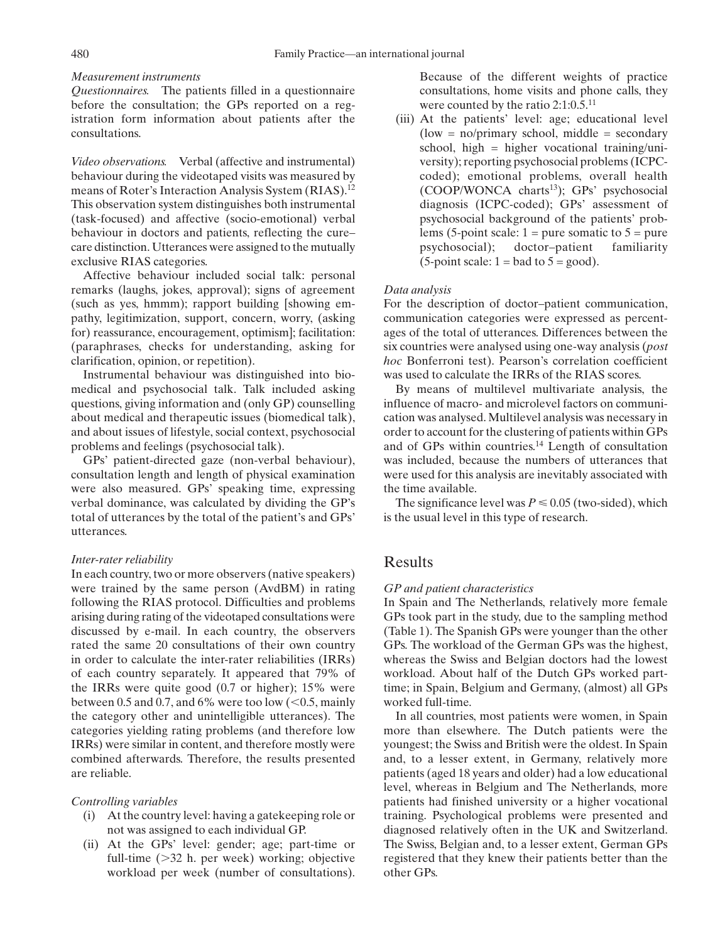#### *Measurement instruments*

*Questionnaires.* The patients filled in a questionnaire before the consultation; the GPs reported on a registration form information about patients after the consultations.

*Video observations.* Verbal (affective and instrumental) behaviour during the videotaped visits was measured by means of Roter's Interaction Analysis System (RIAS).12 This observation system distinguishes both instrumental (task-focused) and affective (socio-emotional) verbal behaviour in doctors and patients, reflecting the cure– care distinction. Utterances were assigned to the mutually exclusive RIAS categories.

Affective behaviour included social talk: personal remarks (laughs, jokes, approval); signs of agreement (such as yes, hmmm); rapport building [showing empathy, legitimization, support, concern, worry, (asking for) reassurance, encouragement, optimism]; facilitation: (paraphrases, checks for understanding, asking for clarification, opinion, or repetition).

Instrumental behaviour was distinguished into biomedical and psychosocial talk. Talk included asking questions, giving information and (only GP) counselling about medical and therapeutic issues (biomedical talk), and about issues of lifestyle, social context, psychosocial problems and feelings (psychosocial talk).

GPs' patient-directed gaze (non-verbal behaviour), consultation length and length of physical examination were also measured. GPs' speaking time, expressing verbal dominance, was calculated by dividing the GP's total of utterances by the total of the patient's and GPs' utterances.

## *Inter-rater reliability*

In each country, two or more observers (native speakers) were trained by the same person (AvdBM) in rating following the RIAS protocol. Difficulties and problems arising during rating of the videotaped consultations were discussed by e-mail. In each country, the observers rated the same 20 consultations of their own country in order to calculate the inter-rater reliabilities (IRRs) of each country separately. It appeared that 79% of the IRRs were quite good (0.7 or higher); 15% were between 0.5 and 0.7, and 6% were too low  $(< 0.5$ , mainly the category other and unintelligible utterances). The categories yielding rating problems (and therefore low IRRs) were similar in content, and therefore mostly were combined afterwards. Therefore, the results presented are reliable.

## *Controlling variables*

- (i) At the country level: having a gatekeeping role or not was assigned to each individual GP.
- (ii) At the GPs' level: gender; age; part-time or full-time (>32 h. per week) working; objective workload per week (number of consultations).

Because of the different weights of practice consultations, home visits and phone calls, they were counted by the ratio 2:1:0.5.11

(iii) At the patients' level: age; educational level  $(low = no/primary school, middle = secondary)$ school, high = higher vocational training/university); reporting psychosocial problems (ICPCcoded); emotional problems, overall health (COOP/WONCA charts<sup>13</sup>); GPs' psychosocial diagnosis (ICPC-coded); GPs' assessment of psychosocial background of the patients' problems (5-point scale:  $1 = pure$  somatic to  $5 = pure$ psychosocial); doctor–patient familiarity (5-point scale:  $1 =$  bad to  $5 =$  good).

#### *Data analysis*

For the description of doctor–patient communication, communication categories were expressed as percentages of the total of utterances. Differences between the six countries were analysed using one-way analysis (*post hoc* Bonferroni test). Pearson's correlation coefficient was used to calculate the IRRs of the RIAS scores.

By means of multilevel multivariate analysis, the influence of macro- and microlevel factors on communication was analysed. Multilevel analysis was necessary in order to account for the clustering of patients within GPs and of GPs within countries.14 Length of consultation was included, because the numbers of utterances that were used for this analysis are inevitably associated with the time available.

The significance level was  $P \le 0.05$  (two-sided), which is the usual level in this type of research.

## Results

## *GP and patient characteristics*

In Spain and The Netherlands, relatively more female GPs took part in the study, due to the sampling method (Table 1). The Spanish GPs were younger than the other GPs. The workload of the German GPs was the highest, whereas the Swiss and Belgian doctors had the lowest workload. About half of the Dutch GPs worked parttime; in Spain, Belgium and Germany, (almost) all GPs worked full-time.

In all countries, most patients were women, in Spain more than elsewhere. The Dutch patients were the youngest; the Swiss and British were the oldest. In Spain and, to a lesser extent, in Germany, relatively more patients (aged 18 years and older) had a low educational level, whereas in Belgium and The Netherlands, more patients had finished university or a higher vocational training. Psychological problems were presented and diagnosed relatively often in the UK and Switzerland. The Swiss, Belgian and, to a lesser extent, German GPs registered that they knew their patients better than the other GPs.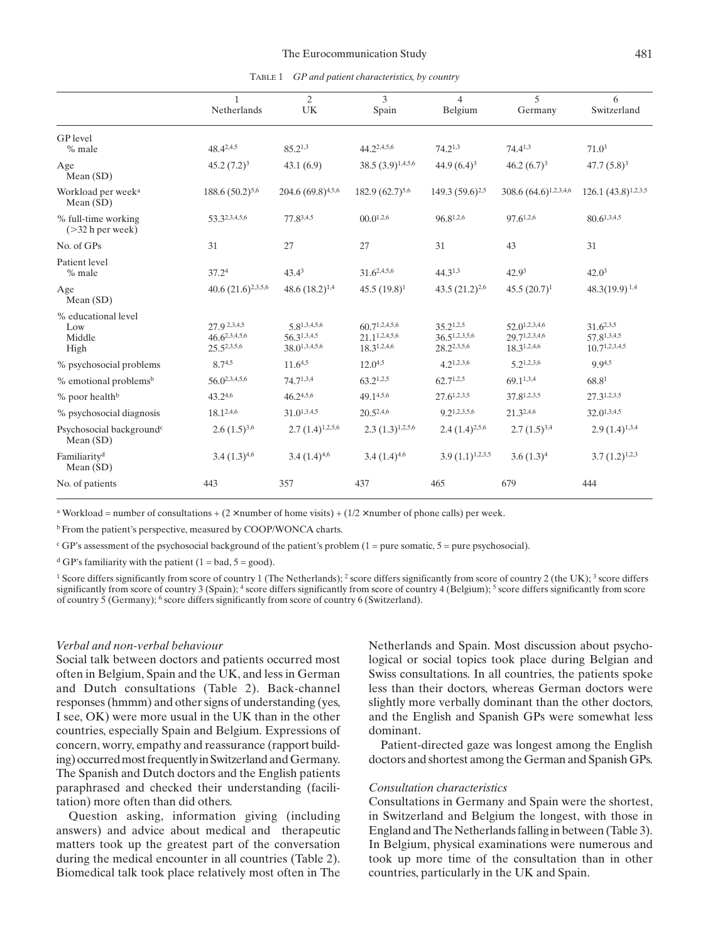|                                                     | $\mathbf{1}$<br>Netherlands                            | $\overline{2}$<br>UK                         | 3<br>Spain                                              | $\overline{4}$<br>Belgium                           | 5<br>Germany                                            | 6<br>Switzerland                                        |
|-----------------------------------------------------|--------------------------------------------------------|----------------------------------------------|---------------------------------------------------------|-----------------------------------------------------|---------------------------------------------------------|---------------------------------------------------------|
| GP level<br>% male                                  | $48.4^{2,4,5}$                                         | $85.2^{1,3}$                                 | 44.2 <sup>2,4,5,6</sup>                                 | $74.2^{1,3}$                                        | $74.4^{1,3}$                                            | 71.0 <sup>3</sup>                                       |
| Age<br>Mean $(SD)$                                  | $45.2(7.2)^3$                                          | 43.1(6.9)                                    | 38.5 (3.9) <sup>1,4,5,6</sup>                           | 44.9 $(6.4)^3$                                      | 46.2 $(6.7)^3$                                          | $47.7(5.8)^3$                                           |
| Workload per week <sup>a</sup><br>Mean $(SD)$       | $188.6(50.2)^{5,6}$                                    | 204.6 $(69.8)^{4,5,6}$                       | 182.9 (62.7) <sup>5,6</sup>                             | $149.3(59.6)^{2,5}$                                 | 308.6 (64.6) <sup>1,2,3,4,6</sup>                       | 126.1 $(43.8)^{1,2,3,5}$                                |
| % full-time working<br>$($ >32 h per week)          | $53.3^{2,3,4,5,6}$                                     | 77.83,4,5                                    | $00.0^{1,2,6}$                                          | $96.8^{1,2,6}$                                      | $97.6^{1,2,6}$                                          | $80.6^{1,3,4,5}$                                        |
| No. of GPs                                          | 31                                                     | 27                                           | 27                                                      | 31                                                  | 43                                                      | 31                                                      |
| Patient level<br>% male                             | 37.24                                                  | $43.4^3$                                     | $31.6^{2,4,5,6}$                                        | $44.3^{1,3}$                                        | 42.9 <sup>3</sup>                                       | $42.0^3$                                                |
| Age<br>Mean $(SD)$                                  | 40.6 $(21.6)^{2,3,5,6}$                                | 48.6 $(18.2)^{1,4}$                          | $45.5(19.8)^1$                                          | 43.5 $(21.2)^{2,6}$                                 | $45.5(20.7)^1$                                          | $48.3(19.9)^{1,4}$                                      |
| % educational level<br>Low<br>Middle<br>High        | 27.9 2,3,4,5<br>$46.6^{2,3,4,5,6}$<br>$25.5^{2,3,5,6}$ | 5.81,3,4,5,6<br>56.31,3,4,5<br>38.01,3,4,5,6 | $60.7^{1,2,4,5,6}$<br>21.11,2,4,5,6<br>$18.3^{1,2,4,6}$ | $35.2^{1,2,5}$<br>$36.5^{1,2,3,5,6}$<br>28.22,3,5,6 | $52.0^{1,2,3,4,6}$<br>29.71,2,3,4,6<br>$18.3^{1,2,4,6}$ | $31.6^{2,3,5}$<br>57, 81, 3, 4, 5<br>$10.7^{1,2,3,4,5}$ |
| % psychosocial problems                             | $8.7^{4,5}$                                            | $11.6^{4,5}$                                 | $12.0^{4,5}$                                            | $4.2^{1,2,3,6}$                                     | $5.2^{1,2,3,6}$                                         | 9.94,5                                                  |
| % emotional problems <sup>b</sup>                   | $56.0^{2,3,4,5,6}$                                     | $74.7^{1,3,4}$                               | $63.2^{1,2,5}$                                          | $62.7^{1,2,5}$                                      | 69.11,3,4                                               | 68.8 <sup>1</sup>                                       |
| $%$ poor health <sup>b</sup>                        | $43.2^{4,6}$                                           | $46.2^{4,5,6}$                               | 49.14,5,6                                               | $27.6^{1,2,3,5}$                                    | $37.8^{1,2,3,5}$                                        | $27.3^{1,2,3,5}$                                        |
| % psychosocial diagnosis                            | 18.12,4,6                                              | $31.0^{1,3,4,5}$                             | $20.5^{2,4,6}$                                          | $9.2^{1,2,3,5,6}$                                   | $21.3^{2,4,6}$                                          | $32.0^{1,3,4,5}$                                        |
| Psychosocial background <sup>c</sup><br>Mean $(SD)$ | $2.6(1.5)^{3.6}$                                       | $2.7(1.4)^{1,2,5,6}$                         | $2.3(1.3)^{1,2,5,6}$                                    | $2.4(1.4)^{2,5,6}$                                  | $2.7(1.5)^{3,4}$                                        | $2.9(1.4)^{1,3,4}$                                      |
| Familiarity <sup>d</sup><br>Mean $(SD)$             | $3.4(1.3)^{4.6}$                                       | 3.4 $(1.4)^{4,6}$                            | 3.4 $(1.4)^{4,6}$                                       | $3.9(1.1)^{1,2,3,5}$                                | $3.6(1.3)^4$                                            | $3.7(1.2)^{1,2,3}$                                      |
| No. of patients                                     | 443                                                    | 357                                          | 437                                                     | 465                                                 | 679                                                     | 444                                                     |

<sup>a</sup> Workload = number of consultations +  $(2 \times$  number of home visits) +  $(1/2 \times$  number of phone calls) per week.

b From the patient's perspective, measured by COOP/WONCA charts.

 $c$  GP's assessment of the psychosocial background of the patient's problem (1 = pure somatic, 5 = pure psychosocial).

<sup>d</sup> GP's familiarity with the patient (1 = bad, 5 = good).

<sup>1</sup> Score differs significantly from score of country 1 (The Netherlands); <sup>2</sup> score differs significantly from score of country 2 (the UK); <sup>3</sup> score differs significantly from score of country 3 (Spain); <sup>4</sup> score differs significantly from score of country 4 (Belgium); <sup>5</sup> score differs significantly from score of country 5 (Germany); 6 score differs significantly from score of country 6 (Switzerland).

#### *Verbal and non-verbal behaviour*

Social talk between doctors and patients occurred most often in Belgium, Spain and the UK, and less in German and Dutch consultations (Table 2). Back-channel responses (hmmm) and other signs of understanding (yes, I see, OK) were more usual in the UK than in the other countries, especially Spain and Belgium. Expressions of concern, worry, empathy and reassurance (rapport building) occurred most frequently in Switzerland and Germany. The Spanish and Dutch doctors and the English patients paraphrased and checked their understanding (facilitation) more often than did others.

Question asking, information giving (including answers) and advice about medical and therapeutic matters took up the greatest part of the conversation during the medical encounter in all countries (Table 2). Biomedical talk took place relatively most often in The Netherlands and Spain. Most discussion about psychological or social topics took place during Belgian and Swiss consultations. In all countries, the patients spoke less than their doctors, whereas German doctors were slightly more verbally dominant than the other doctors, and the English and Spanish GPs were somewhat less dominant.

Patient-directed gaze was longest among the English doctors and shortest among the German and Spanish GPs.

#### *Consultation characteristics*

Consultations in Germany and Spain were the shortest, in Switzerland and Belgium the longest, with those in England and The Netherlands falling in between (Table 3). In Belgium, physical examinations were numerous and took up more time of the consultation than in other countries, particularly in the UK and Spain.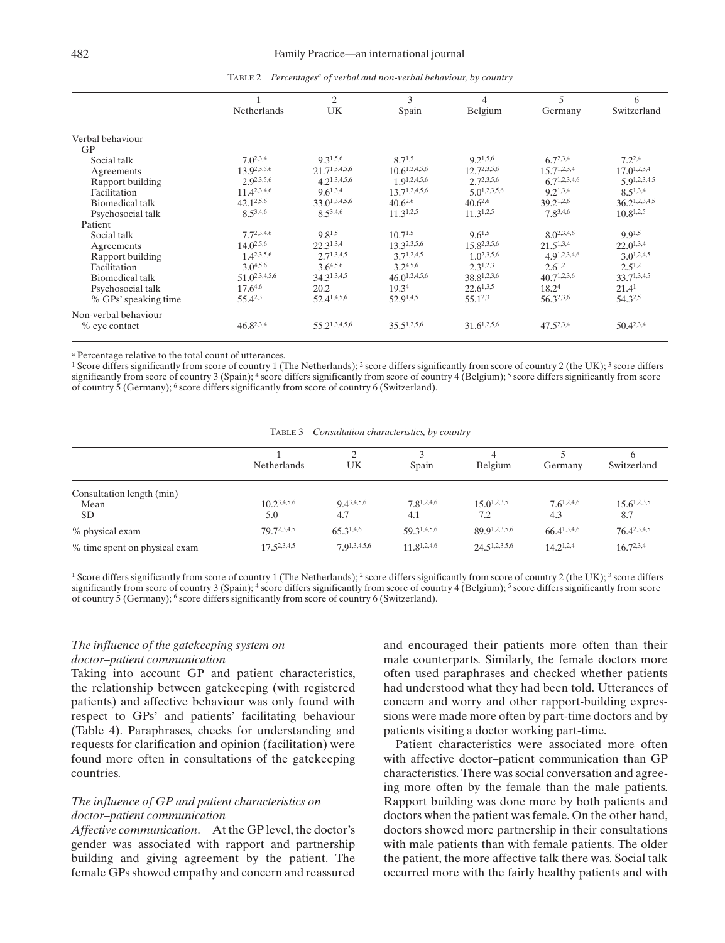|                      |                    | 2                  | 3                  | 4                 | 5                 | 6                   |
|----------------------|--------------------|--------------------|--------------------|-------------------|-------------------|---------------------|
|                      | Netherlands        | UK                 | Spain              | Belgium           | Germany           | Switzerland         |
| Verbal behaviour     |                    |                    |                    |                   |                   |                     |
| GP                   |                    |                    |                    |                   |                   |                     |
| Social talk          | $7.0^{2,3,4}$      | $9.3^{1,5,6}$      | $8.7^{1,5}$        | $9.2^{1,5,6}$     | $6.7^{2,3,4}$     | $7.2^{2,4}$         |
| Agreements           | 13.92,3,5,6        | $21.7^{1,3,4,5,6}$ | $10.6^{1,2,4,5,6}$ | $12.7^{2,3,5,6}$  | $15.7^{1,2,3,4}$  | $17.0^{1,2,3,4}$    |
| Rapport building     | $2.9^{2,3,5,6}$    | $4.2^{1,3,4,5,6}$  | 1, 91, 2, 4, 5, 6  | 2.72,3.5,6        | $6.7^{1,2,3,4,6}$ | 5.91,2,3,4,5        |
| Facilitation         | $11.4^{2,3,4,6}$   | $9.6^{1,3,4}$      | $13.7^{1,2,4,5,6}$ | $5.0^{1,2,3,5,6}$ | $9.2^{1,3,4}$     | $8.5^{1,3,4}$       |
| Biomedical talk      | $42.1^{2,5,6}$     | $33.0^{1,3,4,5,6}$ | $40.6^{2,6}$       | $40.6^{2,6}$      | $39.2^{1,2,6}$    | $36.2^{1,2,3,4,5}$  |
| Psychosocial talk    | $8.5^{3,4,6}$      | $8.5^{3,4,6}$      | $11.3^{1,2,5}$     | $11.3^{1,2,5}$    | $7.8^{3,4,6}$     | $10.8^{1,2,5}$      |
| Patient              |                    |                    |                    |                   |                   |                     |
| Social talk          | $7.7^{2,3,4,6}$    | $9.8^{1,5}$        | $10.7^{1,5}$       | $9.6^{1,5}$       | $8.0^{2,3,4,6}$   | $9.9^{1,5}$         |
| Agreements           | $14.0^{2,5,6}$     | $22.3^{1,3,4}$     | $13.3^{2,3,5,6}$   | $15.8^{2,3,5,6}$  | $21.5^{1,3,4}$    | $22.0^{1,3,4}$      |
| Rapport building     | $1.4^{2,3,5,6}$    | $2.7^{1,3,4,5}$    | 3.71,2,4,5         | $1.0^{2,3,5,6}$   | $4.9^{1,2,3,4,6}$ | $3.0^{1,2,4,5}$     |
| Facilitation         | $3.0^{4,5,6}$      | $3.6^{4,5,6}$      | $3.2^{4,5,6}$      | $2.3^{1,2,3}$     | $2.6^{1,2}$       | $2.5^{1,2}$         |
| Biomedical talk      | $51.0^{2,3,4,5,6}$ | $34.3^{1,3,4,5}$   | $46.0^{1,2,4,5,6}$ | 38.81,2,3,6       | $40.7^{1,2,3,6}$  | $33.7^{1,3,4,5}$    |
| Psychosocial talk    | $17.6^{4,6}$       | 20.2               | 19.3 <sup>4</sup>  | $22.6^{1,3,5}$    | 18.2 <sup>4</sup> | 21.4 <sup>1</sup>   |
| % GPs' speaking time | $55.4^{2,3}$       | $52.4^{1,4,5,6}$   | 52.91,4,5          | $55.1^{2,3}$      | 56.32,3,6         | 54.3 <sup>2,5</sup> |
| Non-verbal behaviour |                    |                    |                    |                   |                   |                     |
| % eye contact        | $46.8^{2,3,4}$     | 55.21,3,4,5,6      | 35.51,2,5,6        | $31.6^{1,2,5,6}$  | $47.5^{2,3,4}$    | $50.4^{2,3,4}$      |

TABLE 2 *Percentagesa of verbal and non-verbal behaviour, by country*

<sup>a</sup> Percentage relative to the total count of utterances.

<sup>1</sup> Score differs significantly from score of country 1 (The Netherlands); <sup>2</sup> score differs significantly from score of country 2 (the UK); <sup>3</sup> score differs significantly from score of country 3 (Spain); <sup>4</sup> score differs significantly from score of country 4 (Belgium); <sup>5</sup> score differs significantly from score of country 5 (Germany); 6 score differs significantly from score of country 6 (Switzerland).

| TABLE 3 |  | Consultation characteristics, by country |  |
|---------|--|------------------------------------------|--|
|---------|--|------------------------------------------|--|

|                                                | Netherlands             | UK                     | $\mathbf{R}$<br>Spain  | 4<br>Belgium            | Germany                | 6<br>Switzerland        |
|------------------------------------------------|-------------------------|------------------------|------------------------|-------------------------|------------------------|-------------------------|
| Consultation length (min)<br>Mean<br><b>SD</b> | $10.2^{3,4,5,6}$<br>5.0 | $9.4^{3,4,5,6}$<br>4.7 | $7.8^{1,2,4,6}$<br>4.1 | $15.0^{1,2,3,5}$<br>7.2 | $7.6^{1,2,4,6}$<br>4.3 | $15.6^{1,2,3,5}$<br>8.7 |
| % physical exam                                | 79.72,3,4,5             | 65.31,4,6              | 59.31,4,5,6            | 89.91,2,3,5,6           | 66.41,3,4,6            | 76.42,3,4,5             |
| % time spent on physical exam                  | $17.5^{2,3,4,5}$        | 7.91,3,4,5,6           | $11.8^{1,2,4,6}$       | $24.5^{1,2,3,5,6}$      | $14.2^{1,2,4}$         | $16.7^{2,3,4}$          |

<sup>1</sup> Score differs significantly from score of country 1 (The Netherlands); <sup>2</sup> score differs significantly from score of country 2 (the UK); <sup>3</sup> score differs significantly from score of country 3 (Spain); <sup>4</sup> score differs significantly from score of country 4 (Belgium); <sup>5</sup> score differs significantly from score of country 5 (Germany); 6 score differs significantly from score of country 6 (Switzerland).

## *The influence of the gatekeeping system on doctor–patient communication*

Taking into account GP and patient characteristics, the relationship between gatekeeping (with registered patients) and affective behaviour was only found with respect to GPs' and patients' facilitating behaviour (Table 4). Paraphrases, checks for understanding and requests for clarification and opinion (facilitation) were found more often in consultations of the gatekeeping countries.

## *The influence of GP and patient characteristics on doctor–patient communication*

*Affective communication*. At the GP level, the doctor's gender was associated with rapport and partnership building and giving agreement by the patient. The female GPs showed empathy and concern and reassured

and encouraged their patients more often than their male counterparts. Similarly, the female doctors more often used paraphrases and checked whether patients had understood what they had been told. Utterances of concern and worry and other rapport-building expressions were made more often by part-time doctors and by patients visiting a doctor working part-time.

Patient characteristics were associated more often with affective doctor–patient communication than GP characteristics. There was social conversation and agreeing more often by the female than the male patients. Rapport building was done more by both patients and doctors when the patient was female. On the other hand, doctors showed more partnership in their consultations with male patients than with female patients. The older the patient, the more affective talk there was. Social talk occurred more with the fairly healthy patients and with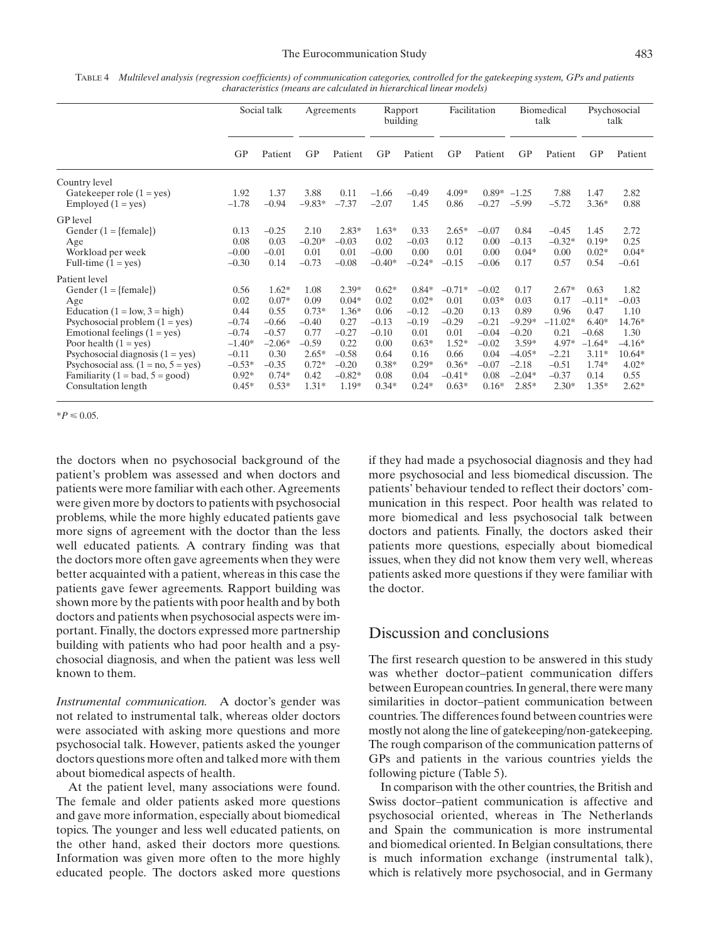TABLE 4 *Multilevel analysis (regression coefficients) of communication categories, controlled for the gatekeeping system, GPs and patients characteristics (means are calculated in hierarchical linear models)*

|                                                                                                                                                                                                                                                                                                                       | Social talk                                                                                         |                                                                                                       | Agreements                                                                                     |                                                                                                       | Rapport<br>building                                                                         |                                                                                                   | Facilitation                                                                                        |                                                                                                   | Biomedical<br>talk                                                                                   |                                                                                                   | Psychosocial<br>talk                                                                                |                                                                                                 |
|-----------------------------------------------------------------------------------------------------------------------------------------------------------------------------------------------------------------------------------------------------------------------------------------------------------------------|-----------------------------------------------------------------------------------------------------|-------------------------------------------------------------------------------------------------------|------------------------------------------------------------------------------------------------|-------------------------------------------------------------------------------------------------------|---------------------------------------------------------------------------------------------|---------------------------------------------------------------------------------------------------|-----------------------------------------------------------------------------------------------------|---------------------------------------------------------------------------------------------------|------------------------------------------------------------------------------------------------------|---------------------------------------------------------------------------------------------------|-----------------------------------------------------------------------------------------------------|-------------------------------------------------------------------------------------------------|
|                                                                                                                                                                                                                                                                                                                       | GP                                                                                                  | Patient                                                                                               | GP                                                                                             | Patient                                                                                               | <b>GP</b>                                                                                   | Patient                                                                                           | <b>GP</b>                                                                                           | Patient                                                                                           | GP                                                                                                   | Patient                                                                                           | GP                                                                                                  | Patient                                                                                         |
| Country level<br>Gatekeeper role $(1 = yes)$<br>$Emploved (1 = yes)$                                                                                                                                                                                                                                                  | 1.92<br>$-1.78$                                                                                     | 1.37<br>$-0.94$                                                                                       | 3.88<br>$-9.83*$                                                                               | 0.11<br>$-7.37$                                                                                       | $-1.66$<br>$-2.07$                                                                          | $-0.49$<br>1.45                                                                                   | $4.09*$<br>0.86                                                                                     | $0.89*$<br>$-0.27$                                                                                | $-1.25$<br>$-5.99$                                                                                   | 7.88<br>$-5.72$                                                                                   | 1.47<br>$3.36*$                                                                                     | 2.82<br>0.88                                                                                    |
|                                                                                                                                                                                                                                                                                                                       |                                                                                                     |                                                                                                       |                                                                                                |                                                                                                       |                                                                                             |                                                                                                   |                                                                                                     |                                                                                                   |                                                                                                      |                                                                                                   |                                                                                                     |                                                                                                 |
| <b>GP</b> level<br>Gender $(1 = {female})$<br>Age<br>Workload per week<br>Full-time $(1 = yes)$                                                                                                                                                                                                                       | 0.13<br>0.08<br>$-0.00$<br>$-0.30$                                                                  | $-0.25$<br>0.03<br>$-0.01$<br>0.14                                                                    | 2.10<br>$-0.20*$<br>0.01<br>$-0.73$                                                            | $2.83*$<br>$-0.03$<br>0.01<br>$-0.08$                                                                 | $1.63*$<br>0.02<br>$-0.00$<br>$-0.40*$                                                      | 0.33<br>$-0.03$<br>0.00<br>$-0.24*$                                                               | $2.65*$<br>0.12<br>0.01<br>$-0.15$                                                                  | $-0.07$<br>0.00<br>0.00<br>$-0.06$                                                                | 0.84<br>$-0.13$<br>$0.04*$<br>0.17                                                                   | $-0.45$<br>$-0.32*$<br>0.00<br>0.57                                                               | 1.45<br>$0.19*$<br>$0.02*$<br>0.54                                                                  | 2.72<br>0.25<br>$0.04*$<br>$-0.61$                                                              |
| Patient level                                                                                                                                                                                                                                                                                                         |                                                                                                     |                                                                                                       |                                                                                                |                                                                                                       |                                                                                             |                                                                                                   |                                                                                                     |                                                                                                   |                                                                                                      |                                                                                                   |                                                                                                     |                                                                                                 |
| Gender $(1 = {female})$<br>Age<br>Education $(1 = low, 3 = high)$<br>Psychosocial problem $(1 = yes)$<br>Emotional feelings $(1 = yes)$<br>Poor health $(1 = yes)$<br>Psychosocial diagnosis $(1 = yes)$<br>Psychosocial ass. $(1 = no, 5 = yes)$<br>Familiarity (1 = bad, $5 = \text{good}$ )<br>Consultation length | 0.56<br>0.02<br>0.44<br>$-0.74$<br>$-0.74$<br>$-1.40*$<br>$-0.11$<br>$-0.53*$<br>$0.92*$<br>$0.45*$ | $1.62*$<br>$0.07*$<br>0.55<br>$-0.66$<br>$-0.57$<br>$-2.06*$<br>0.30<br>$-0.35$<br>$0.74*$<br>$0.53*$ | 1.08<br>0.09<br>$0.73*$<br>$-0.40$<br>0.77<br>$-0.59$<br>$2.65*$<br>$0.72*$<br>0.42<br>$1.31*$ | $2.39*$<br>$0.04*$<br>$1.36*$<br>0.27<br>$-0.27$<br>0.22<br>$-0.58$<br>$-0.20$<br>$-0.82*$<br>$1.19*$ | $0.62*$<br>0.02<br>0.06<br>$-0.13$<br>$-0.10$<br>0.00<br>0.64<br>$0.38*$<br>0.08<br>$0.34*$ | $0.84*$<br>$0.02*$<br>$-0.12$<br>$-0.19$<br>0.01<br>$0.63*$<br>0.16<br>$0.29*$<br>0.04<br>$0.24*$ | $-0.71*$<br>0.01<br>$-0.20$<br>$-0.29$<br>0.01<br>$1.52*$<br>0.66<br>$0.36*$<br>$-0.41*$<br>$0.63*$ | $-0.02$<br>$0.03*$<br>0.13<br>$-0.21$<br>$-0.04$<br>$-0.02$<br>0.04<br>$-0.07$<br>0.08<br>$0.16*$ | 0.17<br>0.03<br>0.89<br>$-9.29*$<br>$-0.20$<br>$3.59*$<br>$-4.05*$<br>$-2.18$<br>$-2.04*$<br>$2.85*$ | $2.67*$<br>0.17<br>0.96<br>$-11.02*$<br>0.21<br>4.97*<br>$-2.21$<br>$-0.51$<br>$-0.37$<br>$2.30*$ | 0.63<br>$-0.11*$<br>0.47<br>$6.40*$<br>$-0.68$<br>$-1.64*$<br>$3.11*$<br>$1.74*$<br>0.14<br>$1.35*$ | 1.82<br>$-0.03$<br>1.10<br>14.76*<br>1.30<br>$-4.16*$<br>$10.64*$<br>$4.02*$<br>0.55<br>$2.62*$ |

 $*P \le 0.05$ .

the doctors when no psychosocial background of the patient's problem was assessed and when doctors and patients were more familiar with each other. Agreements were given more by doctors to patients with psychosocial problems, while the more highly educated patients gave more signs of agreement with the doctor than the less well educated patients. A contrary finding was that the doctors more often gave agreements when they were better acquainted with a patient, whereas in this case the patients gave fewer agreements. Rapport building was shown more by the patients with poor health and by both doctors and patients when psychosocial aspects were important. Finally, the doctors expressed more partnership building with patients who had poor health and a psychosocial diagnosis, and when the patient was less well known to them.

*Instrumental communication.* A doctor's gender was not related to instrumental talk, whereas older doctors were associated with asking more questions and more psychosocial talk. However, patients asked the younger doctors questions more often and talked more with them about biomedical aspects of health.

At the patient level, many associations were found. The female and older patients asked more questions and gave more information, especially about biomedical topics. The younger and less well educated patients, on the other hand, asked their doctors more questions. Information was given more often to the more highly educated people. The doctors asked more questions if they had made a psychosocial diagnosis and they had more psychosocial and less biomedical discussion. The patients' behaviour tended to reflect their doctors' communication in this respect. Poor health was related to more biomedical and less psychosocial talk between doctors and patients. Finally, the doctors asked their patients more questions, especially about biomedical issues, when they did not know them very well, whereas patients asked more questions if they were familiar with the doctor.

## Discussion and conclusions

The first research question to be answered in this study was whether doctor–patient communication differs between European countries. In general, there were many similarities in doctor–patient communication between countries. The differences found between countries were mostly not along the line of gatekeeping/non-gatekeeping. The rough comparison of the communication patterns of GPs and patients in the various countries yields the following picture (Table 5).

In comparison with the other countries, the British and Swiss doctor–patient communication is affective and psychosocial oriented, whereas in The Netherlands and Spain the communication is more instrumental and biomedical oriented. In Belgian consultations, there is much information exchange (instrumental talk), which is relatively more psychosocial, and in Germany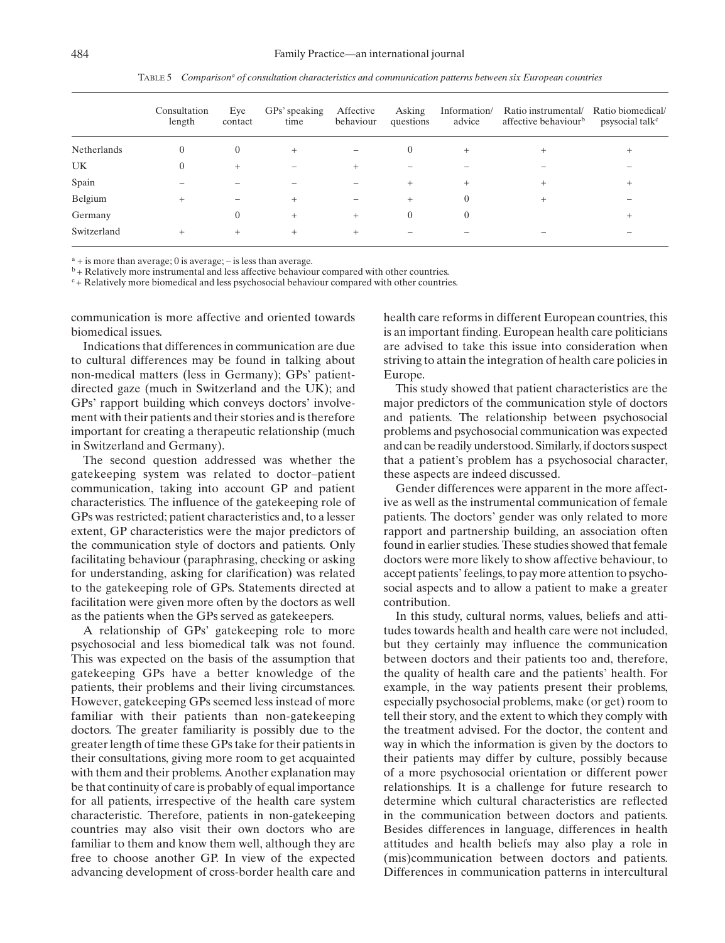TABLE 5 *Comparisona of consultation characteristics and communication patterns between six European countries*

|             | Consultation<br>length | Eye<br>contact | GPs' speaking<br>time | Affective<br>behaviour | Asking<br>questions | Information/<br>advice | Ratio instrumental/ Ratio biomedical/<br>affective behaviour <sup>b</sup> | psysocial talk <sup>c</sup> |
|-------------|------------------------|----------------|-----------------------|------------------------|---------------------|------------------------|---------------------------------------------------------------------------|-----------------------------|
| Netherlands | $\Omega$               | U              |                       |                        | $\overline{0}$      | $^{+}$                 |                                                                           |                             |
| UK          |                        | $^{+}$         |                       |                        |                     |                        |                                                                           |                             |
| Spain       |                        |                |                       |                        | $^{+}$              | $^{+}$                 |                                                                           |                             |
| Belgium     |                        |                | $^{+}$                |                        | $^{+}$              | $\Omega$               |                                                                           |                             |
| Germany     |                        |                | $^+$                  | $^{+}$                 | $\overline{0}$      | $\Omega$               |                                                                           |                             |
| Switzerland |                        | $^{+}$         |                       |                        |                     |                        |                                                                           |                             |

 $a + i$ s more than average; 0 is average; – is less than average.

<sup>b</sup> + Relatively more instrumental and less affective behaviour compared with other countries.

 $c +$  Relatively more biomedical and less psychosocial behaviour compared with other countries.

communication is more affective and oriented towards biomedical issues.

Indications that differences in communication are due to cultural differences may be found in talking about non-medical matters (less in Germany); GPs' patientdirected gaze (much in Switzerland and the UK); and GPs' rapport building which conveys doctors' involvement with their patients and their stories and is therefore important for creating a therapeutic relationship (much in Switzerland and Germany).

The second question addressed was whether the gatekeeping system was related to doctor–patient communication, taking into account GP and patient characteristics. The influence of the gatekeeping role of GPs was restricted; patient characteristics and, to a lesser extent, GP characteristics were the major predictors of the communication style of doctors and patients. Only facilitating behaviour (paraphrasing, checking or asking for understanding, asking for clarification) was related to the gatekeeping role of GPs. Statements directed at facilitation were given more often by the doctors as well as the patients when the GPs served as gatekeepers.

A relationship of GPs' gatekeeping role to more psychosocial and less biomedical talk was not found. This was expected on the basis of the assumption that gatekeeping GPs have a better knowledge of the patients, their problems and their living circumstances. However, gatekeeping GPs seemed less instead of more familiar with their patients than non-gatekeeping doctors. The greater familiarity is possibly due to the greater length of time these GPs take for their patients in their consultations, giving more room to get acquainted with them and their problems. Another explanation may be that continuity of care is probably of equal importance for all patients, irrespective of the health care system characteristic. Therefore, patients in non-gatekeeping countries may also visit their own doctors who are familiar to them and know them well, although they are free to choose another GP. In view of the expected advancing development of cross-border health care and health care reforms in different European countries, this is an important finding. European health care politicians are advised to take this issue into consideration when striving to attain the integration of health care policies in Europe.

This study showed that patient characteristics are the major predictors of the communication style of doctors and patients. The relationship between psychosocial problems and psychosocial communication was expected and can be readily understood. Similarly, if doctors suspect that a patient's problem has a psychosocial character, these aspects are indeed discussed.

Gender differences were apparent in the more affective as well as the instrumental communication of female patients. The doctors' gender was only related to more rapport and partnership building, an association often found in earlier studies. These studies showed that female doctors were more likely to show affective behaviour, to accept patients' feelings, to pay more attention to psychosocial aspects and to allow a patient to make a greater contribution.

In this study, cultural norms, values, beliefs and attitudes towards health and health care were not included, but they certainly may influence the communication between doctors and their patients too and, therefore, the quality of health care and the patients' health. For example, in the way patients present their problems, especially psychosocial problems, make (or get) room to tell their story, and the extent to which they comply with the treatment advised. For the doctor, the content and way in which the information is given by the doctors to their patients may differ by culture, possibly because of a more psychosocial orientation or different power relationships. It is a challenge for future research to determine which cultural characteristics are reflected in the communication between doctors and patients. Besides differences in language, differences in health attitudes and health beliefs may also play a role in (mis)communication between doctors and patients. Differences in communication patterns in intercultural